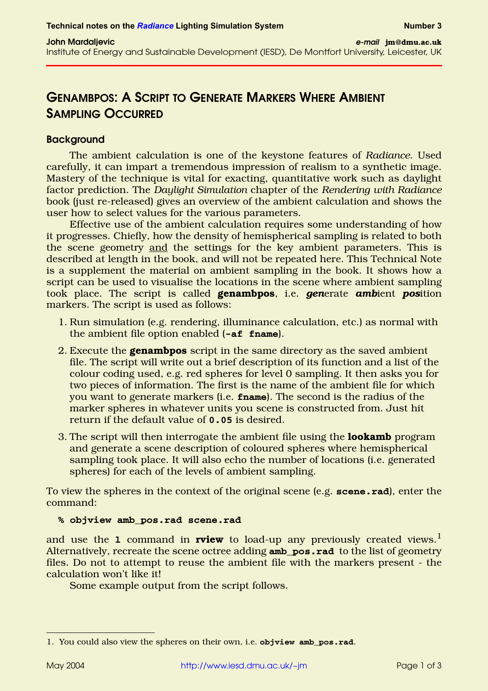# **GENAMBPOS:ASCRIPT TO GENERATE MARKERS WHERE AMBIENT SAMPLING OCCURRED**

# **Background**

The ambient calculation is one of the keystone features of *Radiance*. Used carefully, it can impart a tremendous impression of realism to a synthetic image. Mastery of the technique is vital for exacting, quantitative work such as daylight factor prediction. The *Daylight Simulation* chapter of the *Rendering with Radiance* book (just re-released) gives an overview of the ambient calculation and shows the user how to select values for the various parameters.

Effective use of the ambient calculation requires some understanding of how it progresses. Chiefly, how the density of hemispherical sampling is related to both the scene geometry and the settings for the key ambient parameters. This is described at length in the book, and will not be repeated here. This Technical Note is a supplement the material on ambient sampling in the book. It shows how a script can be used to visualise the locations in the scene where ambient sampling took place. The script is called **genambpos**, i.e. *gen*erate *amb*ient *pos*ition markers. The script is used as follows:

- 1. Run simulation (e.g. rendering, illuminance calculation, etc.) as normal with the ambient file option enabled (**-af fname**).
- 2. Execute the **genambpos** script in the same directory as the saved ambient file. The script will write out a brief description of its function and a list of the colour coding used, e.g. red spheres for level 0 sampling. It then asks you for two pieces of information. The first is the name of the ambient file for which you want to generate markers (i.e. **fname**). The second is the radius of the marker spheres in whatever units you scene is constructed from. Just hit return if the default value of **0.05** is desired.
- 3. The script will then interrogate the ambient file using the **lookamb** program and generate a scene description of coloured spheres where hemispherical sampling took place. It will also echo the number of locations (i.e. generated spheres) for each of the levels of ambient sampling.

To view the spheres in the context of the original scene (e.g. **scene.rad**), enter the command:

# **% objview amb\_pos.rad scene.rad**

and use the **1** command in **rview** to load-up any previously created views.<sup>1</sup> Alternatively, recreate the scene octree adding **amb\_pos.rad** to the list of geometry files. Do not to attempt to reuse the ambient file with the markers present - the calculation won't like it!

Some example output from the script follows.

<sup>1.</sup> You could also view the spheres on their own, i.e. **objview amb\_pos.rad**.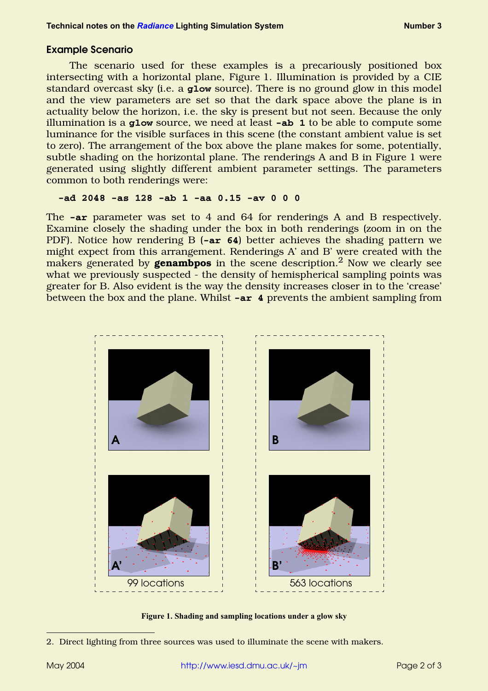# **Example Scenario**

The scenario used for these examples is a precariously positioned box intersecting with a horizontal plane, [Figure 1](#page-1-0). Illumination is provided by a CIE standard overcast sky (i.e. a **glow** source). There is no ground glow in this model and the view parameters are set so that the dark space above the plane is in actuality below the horizon, i.e. the sky is present but not seen. Because the only illumination is a **glow** source, we need at least **-ab 1** to be able to compute some luminance for the visible surfaces in this scene (the constant ambient value is set to zero). The arrangement of the box above the plane makes for some, potentially, subtle shading on the horizontal plane. The renderings A and B in [Figure 1](#page-1-0) were generated using slightly different ambient parameter settings. The parameters common to both renderings were:

#### **-ad 2048 -as 128 -ab 1 -aa 0.15 -av 0 0 0**

The **-ar** parameter was set to 4 and 64 for renderings A and B respectively. Examine closely the shading under the box in both renderings (zoom in on the PDF). Notice how rendering B (**-ar 64**) better achieves the shading pattern we might expect from this arrangement. Renderings A' and B' were created with the makers generated by **genambpos** in the scene description.<sup>2</sup> Now we clearly see what we previously suspected - the density of hemispherical sampling points was greater for B. Also evident is the way the density increases closer in to the 'crease' between the box and the plane. Whilst **-ar 4** prevents the ambient sampling from



**Figure 1. Shading and sampling locations under a glow sky**

<span id="page-1-0"></span><sup>2.</sup> Direct lighting from three sources was used to illuminate the scene with makers.